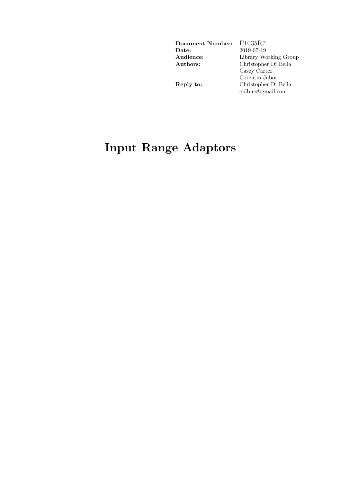| Document Number: | P <sub>1035</sub> R7  |
|------------------|-----------------------|
| Date:            | 2019-07-19            |
| Audience:        | Library Working Group |
| Authors:         | Christopher Di Bella  |
|                  | Casey Carter          |
|                  | Corentin Jabot        |
| Reply to:        | Christopher Di Bella  |
|                  | cjdb.ns@gmail.com     |
|                  |                       |

# **Input Range Adaptors**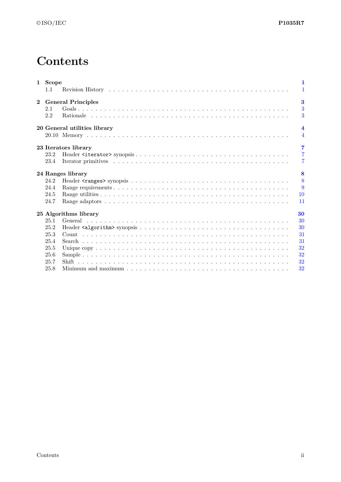# **Contents**

|              | 1 Scope | $\mathbf{1}$                                                                                                           |
|--------------|---------|------------------------------------------------------------------------------------------------------------------------|
|              | 1.1     | $\mathbf{1}$                                                                                                           |
| $\mathbf{2}$ |         | $\bf{3}$<br><b>General Principles</b>                                                                                  |
|              | 2.1     | $\overline{3}$                                                                                                         |
|              | 2.2     | 3                                                                                                                      |
|              |         | $\overline{\mathbf{4}}$<br>20 General utilities library                                                                |
|              |         | $\overline{4}$                                                                                                         |
|              |         | $\overline{7}$<br>23 Iterators library                                                                                 |
|              | 23.2    | $\overline{7}$                                                                                                         |
|              | 23.4    | $\overline{7}$                                                                                                         |
|              |         | 8<br>24 Ranges library                                                                                                 |
|              | 24.2    | 8                                                                                                                      |
|              | 24.4    | 9                                                                                                                      |
|              | 24.5    | <b>10</b>                                                                                                              |
|              | 24.7    | 11                                                                                                                     |
|              |         | 25 Algorithms library<br>30                                                                                            |
|              | 25.1    | 30                                                                                                                     |
|              | 25.2    | 30                                                                                                                     |
|              | 25.3    | 31                                                                                                                     |
|              | 25.4    | 31                                                                                                                     |
|              | 25.5    | 32                                                                                                                     |
|              | 25.6    | 32                                                                                                                     |
|              | 25.7    | 32                                                                                                                     |
|              | 25.8    | 32<br>Minimum and maximum $\ldots \ldots \ldots \ldots \ldots \ldots \ldots \ldots \ldots \ldots \ldots \ldots \ldots$ |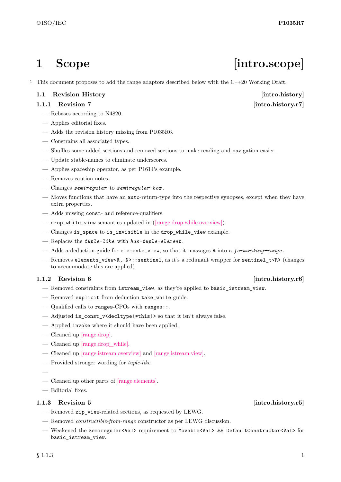<sup>1</sup> This document proposes to add the range adaptors described below with the C++20 Working Draft.

## <span id="page-2-1"></span>**1.1 Revision History [intro.history]**

## **1.1.1 Revision 7** [intro.history.r7]

- Rebases according to N4820.
- Applies editorial fixes.
- Adds the revision history missing from P1035R6.
- Constrains all associated types.
- Shuffles some added sections and removed sections to make reading and navigation easier.
- Update stable-names to eliminate underscores.
- Applies spaceship operator, as per P1614's example.
- Removes caution notes.
- Changes *semiregular* to *semiregular-box* .
- Moves functions that have an auto-return-type into the respective synopses, except when they have extra properties.
- Adds missing const- and reference-qualifiers.
- drop\_while\_view semantics updated in [\(\[range.drop.while.overview\]\)](https://wg21.link/range.drop.while.overview).
- Changes is\_space to is\_invisible in the drop\_while\_view example.
- Replaces the *tuple-like* with *has-tuple-element* .
- Adds a deduction guide for elements\_view, so that it massages R into a *forwarding-range* .
- Removes elements\_view<R, N>::sentinel, as it's a redunant wrapper for sentinel\_t<R> (changes to accommodate this are applied).

## **1.1.2** Revision 6 *intro.history.r6*

- Removed constraints from istream\_view, as they're applied to basic\_istream\_view.
- Removed explicit from deduction take\_while guide.
- Qualified calls to ranges-CPOs with ranges::.
- Adjusted is\_const\_v<decltype(\*this)> so that it isn't always false.
- Applied invoke where it should have been applied.
- Cleaned up [\[range.drop\].](https://wg21.link/range.drop)
- Cleaned up [\[range.drop\\_while\].](https://wg21.link/range.drop_while)
- Cleaned up [\[range.istream.overview\]](https://wg21.link/range.istream.overview) and [\[range.istream.view\].](https://wg21.link/range.istream.view)
- Provided stronger wording for *tuple-like*.
- —
- Cleaned up other parts of [\[range.elements\].](https://wg21.link/range.elements)
- Editorial fixes.

## **1.1.3** Revision 5 *intro.history.r5*

- Removed zip\_view-related sections, as requested by LEWG.
- Removed *constructible-from-range* constructor as per LEWG discussion.
- Weakened the Semiregular<Val> requirement to Movable<Val> && DefaultConstructor<Val> for basic istream view.

# <span id="page-2-0"></span>1 Scope [intro.scope]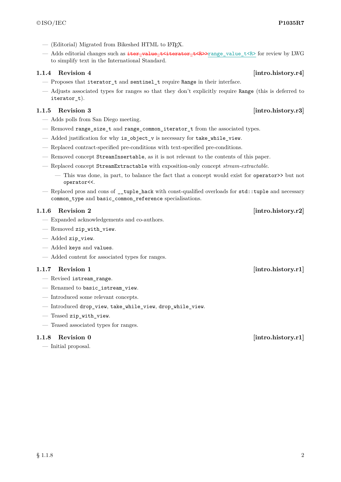- $-$  (Editorial) Migrated from Bikeshed HTML to L<sup>AT</sup>FX.
- Adds editorial changes such as iter\_value\_t<iterator\_t<R>>range\_value\_t<R> for review by LWG to simplify text in the International Standard.

### **1.1.4 Revision 4** [intro.history.r4]

- Proposes that iterator\_t and sentinel\_t require Range in their interface.
- Adjusts associated types for ranges so that they don't explicitly require Range (this is deferred to iterator t).

### **1.1.5 Revision 3** [intro.history.r3]

- Adds polls from San Diego meeting.
- Removed range\_size\_t and range\_common\_iterator\_t from the associated types.
- Added justification for why is object  $v$  is necessary for take while view.
- Replaced contract-specified pre-conditions with text-specified pre-conditions.
- Removed concept StreamInsertable, as it is not relevant to the contents of this paper.
- Replaced concept StreamExtractable with exposition-only concept *stream-extractable*.
	- This was done, in part, to balance the fact that a concept would exist for operator>> but not operator<<.
- Replaced pros and cons of \_\_tuple\_hack with const-qualified overloads for std::tuple and necessary common\_type and basic\_common\_reference specialisations.

### **1.1.6 Revision 2** [intro.history.r2]

- Expanded acknowledgements and co-authors.
- Removed zip\_with\_view.
- Added zip\_view.
- Added keys and values.
- Added content for associated types for ranges.

### **1.1.7** Revision 1 *intro.history.r1*

- Revised istream\_range.
- Renamed to basic\_istream\_view.
- Introduced some relevant concepts.
- Introduced drop\_view, take\_while\_view, drop\_while\_view.
- Teased zip\_with\_view.
- Teased associated types for ranges.

### **1.1.8 Revision 0 [intro.history.r1]**

— Initial proposal.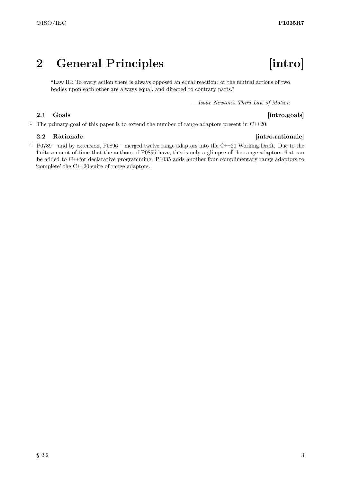# <span id="page-4-0"></span>**2 General Principles [intro]**

"Law III: To every action there is always opposed an equal reaction: or the mutual actions of two bodies upon each other are always equal, and directed to contrary parts."

—*Isaac Newton's Third Law of Motion*

### <span id="page-4-1"></span>**2.1 Goals** [intro.goals]

<sup>1</sup> The primary goal of this paper is to extend the number of range adaptors present in C++20.

### <span id="page-4-2"></span>**2.2 Rationale** *intro.rationale*

<sup>1</sup> P0789 – and by extension, P0896 – merged twelve range adaptors into the C++20 Working Draft. Due to the finite amount of time that the authors of P0896 have, this is only a glimpse of the range adaptors that can be added to C++for declarative programming. P1035 adds another four complimentary range adaptors to 'complete' the C++20 suite of range adaptors.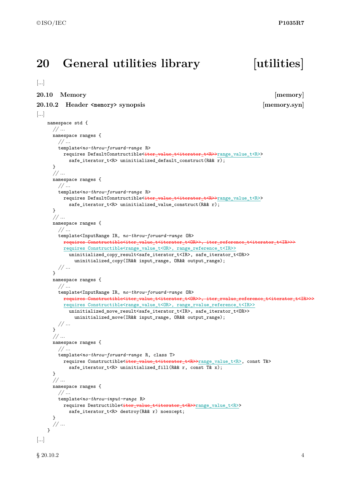## <span id="page-5-0"></span>**20 General utilities library [utilities]**

```
[...]
```
### <span id="page-5-1"></span>**20.10 Memory [memory]**

**20.10.2** Header **<memory>** synopsis [memory.syn]

```
[...]
   namespace std {
      // ...
     namespace ranges {
        // ...
       template<no-throw-forward-range R>
          requires DefaultConstructible<iter value t<iterator t<R>>
range value t<R>>
            safe_iterator_t<R> uninitialized_default_construct(R&& r);
      }
      // ...
      namespace ranges {
       // ...
        template<no-throw-forward-range R>
         requires DefaultConstructible<iter value t<iterator t<R>>t<R>>range value t<R>>
            safe_iterator_t<R> uninitialized_value_construct(R&& r);
      }
      // ...
     namespace ranges {
        // ...
        template<InputRange IR, no-throw-forward-range OR>
          requires Constructible<iter_value_t<iterator_t<OR>>, iter_reference_t<iterator_t<IR>>>
          requires Constructible<range_value_t<OR>, range_reference_t<IR>>
            uninitialized_copy_result<safe_iterator_t<IR>, safe_iterator_t<OR>>
              uninitialized_copy(IR&& input_range, OR&& output_range);
        // ...
      }
      namespace ranges {
        // ...
        template<InputRange IR, no-throw-forward-range OR>
          requires Constructible<iter_value_t<iterator_t<OR>>, iter_rvalue_reference_t<iterator_t<IR>>>
          requires Constructible<range_value_t<OR>, range_rvalue_reference_t<IR>>
            uninitialized_move_result<safe_iterator_t<IR>, safe_iterator_t<OR>>
              uninitialized_move(IR&& input_range, OR&& output_range);
       // ...
      }
      // ...
     namespace ranges {
       // ...
       template<no-throw-forward-range R, class T>
         requires Constructible<<del>iter_value_t<iterator_t<R>></del>xange_value_t<R>, const T&>
            safe_iterator_t<R> uninitialized_fill(R&& r, const T& x);
      }
      // ...
     namespace ranges {
        // ...
       template<no-throw-input-range R>
         requires Destructible<iter_value_t<iterator_t<R>>range_value_t<R>>
            safe iterator t<R> destroy(R&& r) noexcept;
     }
      // ...
    }
[...]
```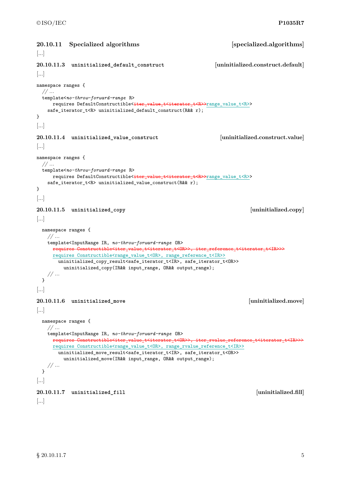```
20.10.11 Specialized algorithms [specialized.algorithms]
[...]
20.10.11.3 uninitialized_default_construct [uninitialized.construct.default]
[...]
namespace ranges {
 // ...
 template<no-throw-forward-range R>
    requires DefaultConstructible<iter_value_t<t>terator_t<R>>range_value_t<R>><
   safe_iterator_t<R> uninitialized_default_construct(R&& r);
}
[...]
20.10.11.4 uninitialized_value_construct [uninitialized.construct.value]
[...]
namespace ranges {
 // ...
 template<no-throw-forward-range R>
     requires DefaultConstructible<iter_value_t<iterator_t<R>>>range_value_t<R>><
   safe_iterator_t<R> uninitialized_value_construct(R&& r);
}
[...]
20.10.11.5 uninitialized_copy [uninitialized.copy]
[...]
 namespace ranges {
   // ...
   template<InputRange IR, no-throw-forward-range OR>
     requires Constructible<iter_value_t<iterator_t<OR>>, iter_reference_t<iterator_t<IR>>>
     requires Constructible<range_value_t<OR>, range_reference_t<IR>>
      uninitialized_copy_result<safe_iterator_t<IR>, safe_iterator_t<OR>>
        uninitialized_copy(IR&& input_range, OR&& output_range);
   // ...
 }
[...]
20.10.11.6 uninitialized_move [uninitialized.move]
[...]
 namespace ranges {
   // ...
   template<InputRange IR, no-throw-forward-range OR>
     requires Constructible<iter_value_t<iterator_t<OR>>, iter_rvalue_reference_t<iterator_t<IR>>>>>>>>
     requires Constructible<range_value_t<OR>, range_rvalue_reference_t<IR>>
      uninitialized_move_result<safe_iterator_t<IR>, safe_iterator_t<OR>>
        uninitialized_move(IR&& input_range, OR&& output_range);
   // ...
 }
[...]
20.10.11.7 uninitialized_fill [uninitialized.fill]
[...]
```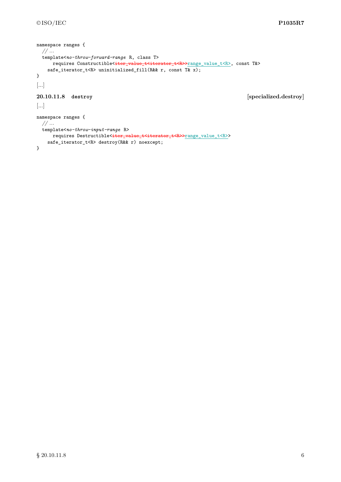```
namespace ranges {
 // ...
 template<no-throw-forward-range R, class T>
     requires Constructible<<del>iter_value_t<iterator_t<R>></del>range_value_t<R>, const T&>
   safe_iterator_t<R> uninitialized_fill(R&& r, const T(x, x);
}
[...]
20.10.11.8 destroy [specialized.destroy]
[...]
namespace ranges {
 // ...
 template<no-throw-input-range R>
     .<br>requires Destructible<<del>iter_value_t<iterator_t<R>></del>range_value_t<R>>
   safe_iterator_t<R> destroy(R&& r) noexcept;
}
```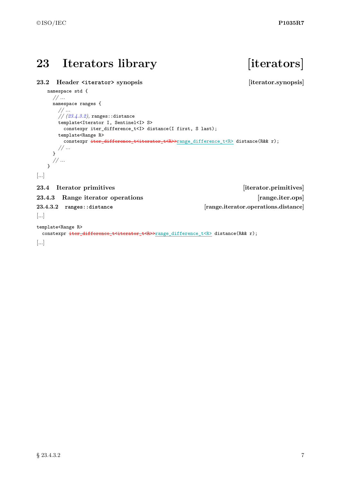# <span id="page-8-0"></span>23 Iterators library **iterators**

## <span id="page-8-1"></span>**23.2 Header <iterator> synopsis [iterator.synopsis]**

```
namespace std {
    // ...
    namespace ranges {
      // ...
      // (23.4.3.2), ranges::distance
      template<Iterator I, Sentinel<I> S>
       constexpr iter_difference_t<I> distance(I first, S last);
      template<Range R>
       constexpr iter_difference_t<iterator_t<R>>range_difference_t<R>>distance(R&&r);
      // ...
     }
     // ...
   }
[...]
23.4 Iterator primitives [iterator.primitives]
23.4.3 Range iterator operations [range.iter.ops]
23.4.3.2 ranges::distance [range.iterator.operations.distance]
[...]
```
<span id="page-8-3"></span><span id="page-8-2"></span>template<Range R>

```
constexpr iter_difference_t<iterator_t<R>>range_difference_t<R> distance(R&& r);
```
[...]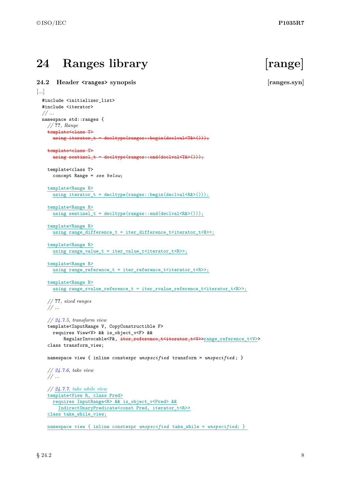# <span id="page-9-0"></span>**24 Ranges library [range]**

<span id="page-9-1"></span>**24.2 Header <ranges> synopsis [ranges.syn]** [...]

## #include <initializer\_list> #include <iterator> *// ...* namespace std::ranges { *//* **??***, Range* template<class T> using iterator\_t = decltype(ranges::begin(declval<T&>())); template<class T> using sentinel\_t = decltype(ranges::end(declval<T&>())); template<class T> concept Range = *see below*; template<Range R> using iterator\_t = decltype(ranges::begin(declval<R& $>())$ ); template<Range R> using sentinel\_t = decltype(ranges::end(declval<R& $>($ )); template<Range R> using range\_difference\_t = iter\_difference\_t<iterator\_t<R>>; template<Range R> using range\_value\_t = iter\_value\_t<iterator\_t<R>>; template<Range R> using range\_reference\_t = iter\_reference\_t<iterator\_t<R>>; template<Range R> using range\_rvalue\_reference\_t = iter\_rvalue\_reference\_t<iterator\_t<R>>; *//* **??***, sized ranges // ... // [24.7.5,](#page-13-0) transform view* template<InputRange V, CopyConstructible F> requires View<V> && is\_object\_v<F> && RegularInvocable<F&, iter\_reference\_t<iterator\_t<V>>range\_reference\_t<V>> class transform\_view; namespace view { inline constexpr *unspecified* transform = *unspecified* ; } *// [24.7.6,](#page-14-0) take view // ... // [24.7.7,](#page-15-0) take while view* template<View R, class Pred> requires InputRange<R> && is\_object\_v<Pred> && IndirectUnaryPredicate<const Pred, iterator\_t<R>> class take\_while\_view;

namespace view { inline constexpr *unspecified* take\_while = *unspecified*; }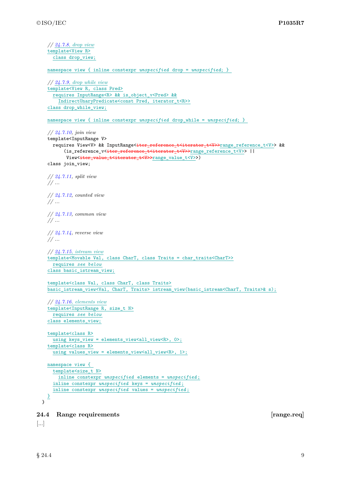```
// 24.7.8, drop view
   template<View R>
     class drop_view;
    namespace view { inline constexpr unspecified drop = unspecified; }
    // 24.7.9, drop while view
   template<View R, class Pred>
     requires InputRange<R> && is_object_v<Pred> &&
       IndirectUnaryPredicate<const Pred, iterator_t<R>>
    class drop_while_view;
   namespace view { inline constexpr unspecified drop_while = unspecified; }
   // 24.7.10, join view
   template<InputRange V>
     requires View<V> && InputRange<iter_reference_t<iterator_t<V>>range_reference_t<V>> &&
          (is_reference_v<<del>iter_reference_t<iterator_t<V>></del>range_reference_t<V>> ||
          View<<del>iter_value_t<iterator_t<V>></del>range_value_t<V>>)
   class join_view;
   // 24.7.11, split view
    // ...
   // 24.7.12, counted view
    // ...
   // 24.7.13, common view
   // ...
   // 24.7.14, reverse view
   // ...
   // 24.7.15, istream view
   template<Movable Val, class CharT, class Traits = char_traits<CharT>>
     requires see below
    class basic_istream_view;
    template<class Val, class CharT, class Traits>
   basic_istream_view<Val, CharT, Traits> istream_view(basic_istream<CharT, Traits>& s);
    // 24.7.16, elements view
   template<InputRange R, size_t N>
     requires see below
    class elements_view;
   template<class R>
     using keys_view = elements_view<all_view<R>, 0>;
    template<class R>
     using values_view = elements_view<all_view<R>, 1>;
   namespace view {
     template<size_t N>
       inline constexpr unspecified elements = unspecified ;
     inline constexpr unspecified keys = unspecified ;
     inline constexpr unspecified values = unspecified ;
   }
 }
24.4 Range requirements [range.req]
[...]
```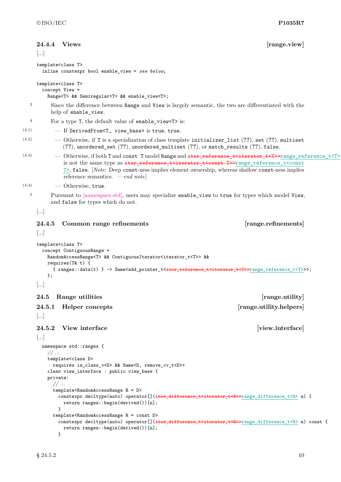<span id="page-11-0"></span>

|                | $\left[\right]$       | 24.4.4 Views                                                                  |                                                                                                                         | [range.view]                                                                                                                                                                                                                                                                                                                                                    |  |
|----------------|-----------------------|-------------------------------------------------------------------------------|-------------------------------------------------------------------------------------------------------------------------|-----------------------------------------------------------------------------------------------------------------------------------------------------------------------------------------------------------------------------------------------------------------------------------------------------------------------------------------------------------------|--|
|                |                       | template <class t=""></class>                                                 | inline constexpr bool enable_view = see below;                                                                          |                                                                                                                                                                                                                                                                                                                                                                 |  |
|                |                       | template <class t=""><br/><math>concept</math> <math>View</math> =</class>    | Range <t> &amp;&amp; Semiregular<t> &amp;&amp; enable_view<t>;</t></t></t>                                              |                                                                                                                                                                                                                                                                                                                                                                 |  |
| 3              |                       | help of enable_view.                                                          |                                                                                                                         | Since the difference between Range and View is largely semantic, the two are differentiated with the                                                                                                                                                                                                                                                            |  |
| $\overline{4}$ |                       |                                                                               | For a type T, the default value of enable_view <t> is:</t>                                                              |                                                                                                                                                                                                                                                                                                                                                                 |  |
| (4.1)          |                       |                                                                               | - If DerivedFrom <t, view_base=""> is true, true.</t,>                                                                  |                                                                                                                                                                                                                                                                                                                                                                 |  |
| (4.2)          |                       |                                                                               |                                                                                                                         | - Otherwise, if T is a specialization of class template initializer_list (??), set (??), multiset<br>$(??)$ , unordered_set $(??)$ , unordered_multiset $(??)$ , or match_results $(??)$ , false.                                                                                                                                                               |  |
| (4.3)          |                       | reference semantics. $\,-\,end\,note$                                         |                                                                                                                         | - Otherwise, if both T and const T model Range and iter reference t <iterator t<t="">&gt;range reference t<t><br/>is not the same type as iter_reference_t<iterator_t<const t="">&gt;range_reference_t<const<br>T&gt;, false. [Note: Deep const-ness implies element ownership, whereas shallow const-ness implies</const<br></iterator_t<const></t></iterator> |  |
| (4.4)          |                       | - Otherwise, true.                                                            |                                                                                                                         |                                                                                                                                                                                                                                                                                                                                                                 |  |
| 5              |                       | and false for types which do not.                                             |                                                                                                                         | Pursuant to [namespace.std], users may specialize enable_view to true for types which model View,                                                                                                                                                                                                                                                               |  |
|                | $\left[\right]$       |                                                                               |                                                                                                                         |                                                                                                                                                                                                                                                                                                                                                                 |  |
|                | 24.4.5<br>[]          | Common range refinements                                                      |                                                                                                                         | [range.refinements]                                                                                                                                                                                                                                                                                                                                             |  |
|                | };                    | requires $(T& t)$ {                                                           | RandomAccessRange <t> &amp;&amp; ContiguousIterator<iterator_t<t>&gt; &amp;&amp;</iterator_t<t></t>                     | { ranges::data(t) } -> Same <add_pointer_t<<del>iter_reference_t<iterator_t<t>&gt;range_reference_t<t>&gt;&gt;;</t></iterator_t<t></add_pointer_t<<del>                                                                                                                                                                                                         |  |
|                | $\left[\ldots\right]$ |                                                                               |                                                                                                                         |                                                                                                                                                                                                                                                                                                                                                                 |  |
|                | $\bf 24.5$            | Range utilities                                                               |                                                                                                                         | [range.utility]                                                                                                                                                                                                                                                                                                                                                 |  |
|                | 24.5.1                |                                                                               |                                                                                                                         |                                                                                                                                                                                                                                                                                                                                                                 |  |
|                |                       | Helper concepts                                                               |                                                                                                                         | [range.utility.helpers]                                                                                                                                                                                                                                                                                                                                         |  |
|                | []                    |                                                                               |                                                                                                                         |                                                                                                                                                                                                                                                                                                                                                                 |  |
|                | 24.5.2                | View interface                                                                |                                                                                                                         | [view.interface]                                                                                                                                                                                                                                                                                                                                                |  |
|                | []                    |                                                                               |                                                                                                                         |                                                                                                                                                                                                                                                                                                                                                                 |  |
|                |                       | namespace std::ranges {                                                       |                                                                                                                         |                                                                                                                                                                                                                                                                                                                                                                 |  |
|                | //                    |                                                                               |                                                                                                                         |                                                                                                                                                                                                                                                                                                                                                                 |  |
|                |                       | template <class d=""></class>                                                 | requires is_class_v <d> &amp;&amp; Same<d, remove_cv_t<d="">&gt;<br/>class view_interface : public view_base {</d,></d> |                                                                                                                                                                                                                                                                                                                                                                 |  |
|                |                       | private:                                                                      |                                                                                                                         |                                                                                                                                                                                                                                                                                                                                                                 |  |
|                |                       | //<br>template <randomaccessrange r="D"><br/><sup>}</sup></randomaccessrange> | return ranges::begin(derived())[n];                                                                                     | constexpr decltype(auto) operator[](iter_difference_t <iterator_t<r>&gt;range_difference_t<r> n) {</r></iterator_t<r>                                                                                                                                                                                                                                           |  |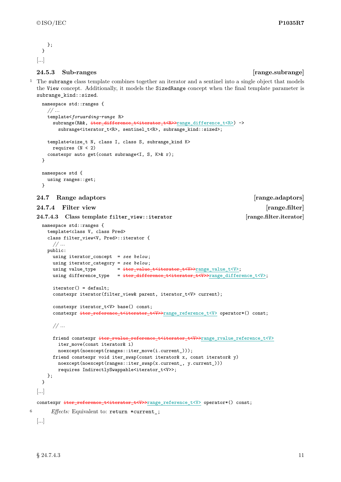```
};
  }
[...]
```
### **24.5.3 Sub-ranges [range.subrange]**

<sup>1</sup> The subrange class template combines together an iterator and a sentinel into a single object that models the View concept. Additionally, it models the SizedRange concept when the final template parameter is subrange\_kind::sized.

```
namespace std::ranges {
     // ...
     template<forwarding-range R>
       subrange(R&&, iter_difference_t<iterator_t<R>>range_difference_t<R>) ->
         subrange<iterator_t<R>, sentinel_t<R>, subrange_kind::sized>;
     template<size_t N, class I, class S, subrange_kind K>
       requires (N < 2)constexpr auto get(const subrange<I, S, K>& r);
   }
   namespace std {
     using ranges::get;
   }
  24.7 Range adaptors [range.adaptors]
  24.7.4 Filter view [range.filter]
  24.7.4.3 Class template filter_view::iterator [range.filter.iterator]
   namespace std::ranges {
     template<class V, class Pred>
     class filter_view<V, Pred>::iterator {
        // ...
     public:
       using iterator_concept = see below ;
       using iterator_category = see below ;
       using value_type = iter_value_t<iterator_t<V>>range_value_t<V>;
       using difference_type = iter_difference_t<iterator_t<V>>range_difference_t<V>;
       iterator() = default;
       constexpr iterator(filter_view& parent, iterator_t<V> current);
       constexpr iterator_t<V> base() const;
       constexpr iter_reference_t<iterator_t<V>>range_reference_t<V> operator*() const;
       // ...
       friend constexpr iter_rvalue_reference_t<iterator_t<V>>range_rvalue_reference_t<V>
         iter_move(const iterator& i)
         noexcept(noexcept(ranges::iter_move(i.current_)));
       friend constexpr void iter_swap(const iterator& x, const iterator& y)
         noexcept(noexcept(ranges::iter_swap(x.current_, y.current_)))
         requires IndirectlySwappable<iterator_t<V>>;
     };
    }
  [...]
  constexpr iter_reference_t<iterator_t<V>>range_reference_t<V> operator*() const;
6 Effects: Equivalent to: return *current_;
  [...]
```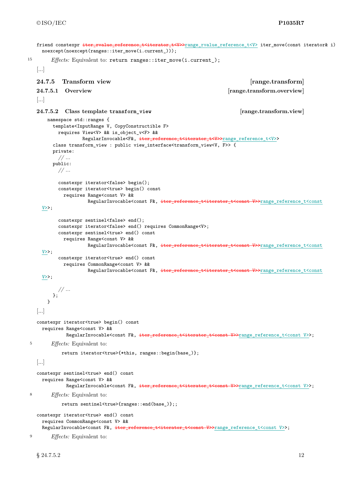```
friend constexpr iter_rvalue_reference_t<iterator_t<V>range_rvalue_reference_t<V> iter_move(const iterator& i)
    noexcept(noexcept(ranges::iter_move(i.current_)));
15 Effects: Equivalent to: return ranges::iter move(i.current);
   [...]
   24.7.5 Transform view [range.transform]
   24.7.5.1 Overview [range.transform.overview]
   [...]
   24.7.5.2 Class template transform_view [range.transform.view]
      namespace std::ranges {
        template<InputRange V, CopyConstructible F>
          requires View<V> && is_object_v<F> &&
                  RegularInvocable<F&, iter_reference_t<iterator_t<V>>range_reference_t<V>>
        class transform_view : public view_interface<transform_view<V, F>> {
        private:
          // ...
        public:
          // ...
          constexpr iterator<false> begin();
          constexpr iterator<true> begin() const
            requires Range<const V> &&
                     RegularInvocable<const F&, iter_reference_t<iterator_t<const V>>range_reference_t<const
    V>;
          constexpr sentinel<false> end();
          constexpr iterator<false> end() requires CommonRange<V>;
          constexpr sentinel<true> end() const
            requires Range<const V> &&
                    RegularInvocable<const F&, iter_reference_t<iterator_t<const V>>range_reference_t<const
    V>>;
          constexpr iterator<true> end() const
            requires CommonRange<const V> &&
                    RegularInvocable<const F&, iter_reference_t<iterator_t<const V>>range_reference_t<const
     V>>:
          // ...
        \lambda:
       }
   [...]
   constexpr iterator<true> begin() const
    requires Range<const V> &&
             RegularInvocable<const F&, iter_reference_t<iterator_t<const V>>range_reference_t<const V>>;
5 Effects: Equivalent to:
           return iterator<true>{*this, ranges::begin(base_)};
   [...]
   constexpr sentinel<true> end() const
     requires Range<const V> &&
             RegularInvocable<const F&, iter_reference_t<iterator_t<const V>>range_reference_t<const V>>;
8 Effects: Equivalent to:
           return sentinel<true>{ranges::end(base_)};;
   constexpr iterator<true> end() const
    requires CommonRange<const V> &&
     RegularInvocable<const F&, iter_reference_t<iterator_t<const V>>range_reference_t<const V>>;
9 Effects: Equivalent to:
```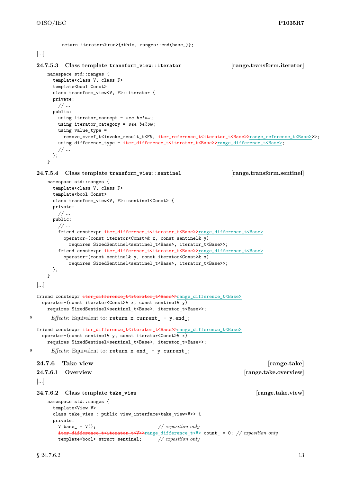```
return iterator<true>{*this, ranges::end(base_)};
  [...]
  24.7.5.3 Class template transform_view::iterator [range.transform.iterator]
     namespace std::ranges {
       template<class V, class F>
       template<br/>bool Const>
       class transform_view<V, F>::iterator {
       private:
         // ...
       public:
         using iterator_concept = see below ;
         using iterator_category = see below ;
         using value_type =
           remove cvref t<invoke result t<F&, iter reference t<iterator t<Base>>range reference t<Base>>>;
         using difference type = iter difference t<iterator t<Base>>range difference t<Base>;
         // ...
       };
     }
  24.7.5.4 Class template transform_view::sentinel [range.transform.sentinel]
     namespace std::ranges {
       template<class V, class F>
       template<br/>bool Const>
       class transform_view<V, F>::sentinel<Const> {
       private:
         // ...
       public:
         // ...
         friend constexpr iter_difference_t<iterator_t<Base>>range_difference_t<Base>
           operator-(const iterator<Const>& x, const sentinel& y)
             requires SizedSentinel<sentinel_t<Base>>; iterator_t<Base>>;
         friend constexpr iter_difference_t<iterator_t<Base>>range_difference_t<Base>
           operator-(const sentinel& y, const iterator<Const>& x)
             requires SizedSentinel<sentinel_t<Base>>;
       };
     }
  [...]
  friend constexpr iter_difference_t<iterator_t<Base>>range_difference_t<Base>
    operator-(const iterator<Const>& x, const sentinel& y)
     requires SizedSentinel<sentinel_t<Base>>; iterator_t<Base>>;
8 Effects: Equivalent to: return x.current_ - y.end_;
  friend constexpr iter_difference_t<iterator_t<Base>>range_difference_t<Base>
    operator-(const sentinel& y, const iterator<Const>& x)
     requires SizedSentinel<sentinel_t<Base>>; iterator_t<Base>>;
<sup>9</sup> Effects: Equivalent to: return x.end_ - y.current_;
  24.7.6 Take view [range.take]
  24.7.6.1 Overview [range.take.overview]
  [...]
  24.7.6.2 Class template take_view [range.take.view]
     namespace std::ranges {
       template<View V>
       class take_view : public view_interface<take_view<V>> {
       private:
         V base_ = V(); \frac{1}{2} // exposition only
         iter_difference_t<iterator_t<V>>range_difference_t<V> count_ = 0; // exposition only
         template<bool> struct sentinel; // exposition only
```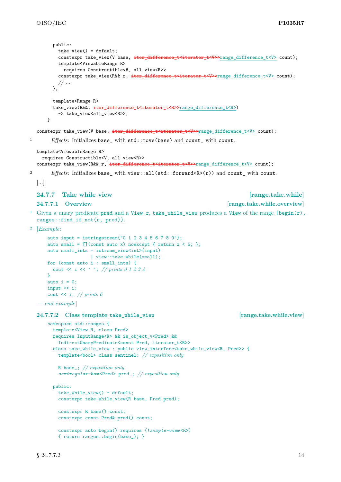```
public:
         take\_view() = default;constexpr take_view(V base, iter_difference_t<iterator_t<V>>range_difference_t<V> count);
          template<ViewableRange R>
           requires Constructible<V, all_view<R>>
          constexpr take_view(R&& r, iter_difference_t<iterator_t<V>>range_difference_t<V> count);
          // ...
        \lambda:
        template<Range R>
        take_view(R&&, iter_difference_t<iterator_t<R>>range_difference_t<R>>
          -> take_view<all_view<R>>;
      }
  constexpr take_view(V base, iter_difference_t<iterator_t<V>>range_difference_t<V> count);
1 Effects: Initializes base_ with std::move(base) and count_ with count.
  template<ViewableRange R>
    requires Constructible<V, all_view<R>>
  constexpr take_view(R&& r, iter_difference_t<iterator_t<V>>range_difference_t<V> count);
2 Effects: Initializes base with view::all(std::forward<R>(r)) and count with count.
  [...]
  24.7.7 Take while view [range.take.while]
  24.7.7.1 Overview [range.take.while.overview]
<sup>1</sup> Given a unary predicate pred and a View r, take while view produces a View of the range [\text{begin}(r),\cdot,\cdot)]ranges::find_if_not(r, pred)).
2 [Example:
      auto input = istringstream{''0} 1 2 3 4 5 6 7 8 9{''};
      auto small = [] (const auto x) noexcept { return x < 5; };
      auto small_ints = istream_view<int>(input)
                     | view::take_while(small);
      for (const auto i : small_ints) {
       cout << i << ' '; // prints 0 1 2 3 4
      \mathbf{I}auto i = 0;
      input >> i;
      cout << i; // prints 6
   — end example]
  24.7.7.2 Class template take_while_view [range.take.while.view]
      namespace std::ranges {
        template<View R, class Pred>
        requires InputRange<R> && is_object_v<Pred> &&
         IndirectUnaryPredicate<const Pred, iterator t<R>>
        class take while view : public view interface<take while view<R. Pred>> {
          template<bool> class sentinel; // exposition only
         R base_; // exposition only
          semiregular-box <Pred> pred_; // exposition only
        public:
         take_while_view() = default;
          constexpr take while view(R base, Pred pred);
          constexpr R base() const;
          constexpr const Pred& pred() const;
          constexpr auto begin() requires (!simple-view <R>)
          { return ranges::begin(base_); }
```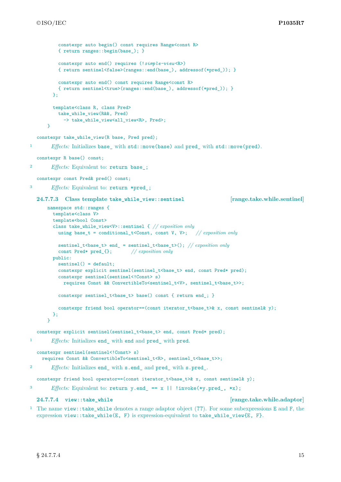```
constexpr auto begin() const requires Range<const R>
          { return ranges::begin(base_); }
          constexpr auto end() requires (!simple-view <R>)
          { return sentinel<false>(ranges::end(base_), addressof(*pred_)); }
          constexpr auto end() const requires Range<const R>
          { return sentinel<true>(ranges::end(base_), addressof(*pred_)); }
        };
        template<class R, class Pred>
          take_while_view(R&&, Pred)
            -> take_while_view<all_view<R>, Pred>;
      }
  constexpr take_while_view(R base, Pred pred);
1 Effects: Initializes base_ with std::move(base) and pred_ with std::move(pred).
  constexpr R base() const;
2 Effects: Equivalent to: return base_;
  constexpr const Pred& pred() const;
3 Effects: Equivalent to: return *pred_;
  24.7.7.3 Class template take_while_view::sentinel [range.take.while.sentinel]
      namespace std::ranges {
        template<class V>
        template<br/>bool Const>
        class take_while_view<V>::sentinel { // exposition only
          using base_t = conditional_t<Const, const V, V>; // exposition only
          sentinel_t<base_t> end_ = sentinel_t<base_t>(); // exposition only
          const Pred* pred_{}; // exposition only
        public:
          sentinel() = default;
          constexpr explicit sentinel(sentinel_t<br/>base_t> end, const Pred* pred);
          constexpr sentinel(sentinel<!Const> s)
            requires Const && ConvertibleTo<sentinel_t<V>, sentinel_t<br/>base_t>>;
          constexpr sentinel_t<br/>base_t> base() const { return end_; }
          constexpr friend bool operator==(const iterator_t<br/> \text{base_t>& x, const sentinel& y);
        };
      \mathbf{I}constexpr explicit sentinel(sentinel_t<br/>base_t> end, const Pred* pred);
1 Effects: Initializes end_ with end and pred_ with pred.
  constexpr sentinel(sentinel<!Const> s)
    requires Const && ConvertibleTo<sentinel_t<R>, sentinel_t<br/>base_t>>;
2 Effects: Initializes end_ with s.end_ and pred_ with s.pred_.
  constexpr friend bool operator==(const iterator_t<br/> <br/> the x, const sentinel& y);
<sup>3</sup> Effects: Equivalent to: return y.end == x || !invoke(*y.pred, *x);
  24.7.7.4 view::take_while [range.take.while.adaptor]
```
<sup>1</sup> The name view::take\_while denotes a range adaptor object (**??**). For some subexpressions E and F, the expression view::take while(E, F) is expression-equivalent to take while view{E, F}.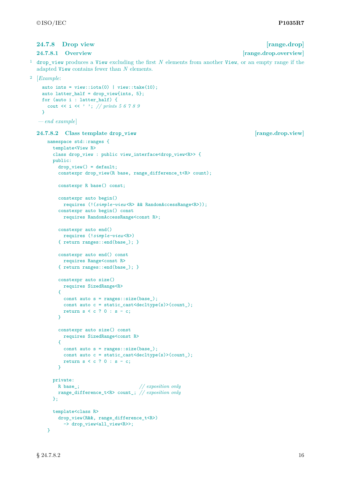#### <span id="page-17-0"></span>**24.7.8 Drop view [range.drop]**

#### **24.7.8.1 Overview [range.drop.overview]**

<sup>1</sup> drop\_view produces a View excluding the first *N* elements from another View, or an empty range if the adapted View contains fewer than *N* elements.

```
2 [Example:
    auto ints = view::iota(0) | view::take(10);
    auto latter_half = drop_view{ints, 5};
    for (auto i : latter_half) {
      cout << i << ' '; // prints 5 6 7 8 9
    }
```

```
— end example]
```
#### **24.7.8.2** Class template drop view **and the contract of the contract of the contract of the contract of the contract of the contract of the contract of the contract of the contract of the contract of the contract of the c**

```
namespace std::ranges {
  template<View R>
  class drop view : public view interface<drop view<R>> {
  public:
    drop\,view() = default:constexpr drop_view(R base, range_difference_t<R> count);
    constexpr R base() const;
    constexpr auto begin()
     requires (!(simple-view <R> && RandomAccessRange<R>));
    constexpr auto begin() const
     requires RandomAccessRange<const R>;
    constexpr auto end()
     requires (!simple-view <R>)
    { return ranges::end(base_); }
    constexpr auto end() const
     requires Range<const R>
    { return ranges::end(base_); }
    constexpr auto size()
      requires SizedRange<R>
    {
      const auto s = ranges::size(base_);
      const auto c = static_cast<decltype(s)>(count_);
     return s < c ? 0 : s - c;
    }
    constexpr auto size() const
     requires SizedRange<const R>
    {
     const auto s = \text{ranges}: size(base);
     const auto c = static cast <decltype(s)>(count);
     return s < c ? 0 : s - c;
    }
  private:
   R base_; // exposition only
    range_difference_t<R> count_; // exposition only
  };
  template<class R>
    drop_view(R&&, range_difference_t<R>)
      -> drop_view<all_view<R>>;
```
}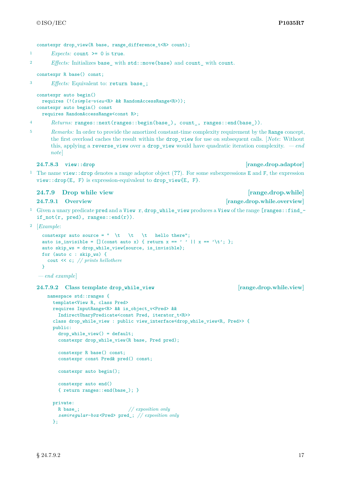constexpr drop\_view(R base, range\_difference\_t<R> count);

- <sup>1</sup> *Expects:* count  $\geq 0$  is true.
- <sup>2</sup> *Effects:* Initializes base\_ with std::move(base) and count\_ with count.

```
constexpr R base() const;
```
<sup>3</sup> *Effects:* Equivalent to: return base\_;

```
constexpr auto begin()
 requires (!(simple-view <R> && RandomAccessRange<R>));
constexpr auto begin() const
 requires RandomAccessRange<const R>;
```
<sup>4</sup> *Returns:* ranges::next(ranges::begin(base\_), count\_, ranges::end(base\_)).

<sup>5</sup> *Remarks:* In order to provide the amortized constant-time complexity requirement by the Range concept, the first overload caches the result within the drop\_view for use on subsequent calls. [*Note*: Without this, applying a reverse\_view over a drop\_view would have quadratic iteration complexity. *— end note*]

**24.7.8.3 view::drop [range.drop.adaptor]**

<sup>1</sup> The name view::drop denotes a range adaptor object (**??**). For some subexpressions E and F, the expression  $view:drop(E, F)$  is expression-equivalent to drop view ${E, F}$ .

#### <span id="page-18-0"></span>**24.7.9** Drop while view *p i i i i i i i i i i i i i i i i i i i i i i i i i i i i i i i i*

<sup>1</sup> Given a unary predicate pred and a View r, drop while view produces a View of the range  $[range:ifind$ if  $not(r, pred), ranges::end(r)$ .

```
2 [Example:
```

```
constexpr auto source = " \t \t \t hello there";
auto is_invisible = [] (const auto x) { return x == '' ' || x == '\t'; };
auto skip_ws = drop_while_view{source, is_invisible};
for (auto c : skip_ws) {
  cout << c; // prints hellothere
}
```

```
— end example]
```
**24.7.9.2 Class template drop\_while\_view [range.drop.while.view]**

```
namespace std::ranges {
  template<View R, class Pred>
  requires InputRange<R> && is_object_v<Pred> &&
    IndirectUnaryPredicate<const Pred, iterator_t<R>>
  class drop_while_view : public view_interface<drop_while_view<R, Pred>> {
  public:
    drop_while_view() = default;
    constexpr drop_while_view(R base, Pred pred);
    constexpr R base() const;
    constexpr const Pred& pred() const;
    constexpr auto begin();
    constexpr auto end()
    { return ranges::end(base_); }
  private:
    R base_; // exposition only
    semiregular-box <Pred> pred_; // exposition only
  \mathcal{F}:
```
**24.7.9.1 Overview [range.drop.while.overview]**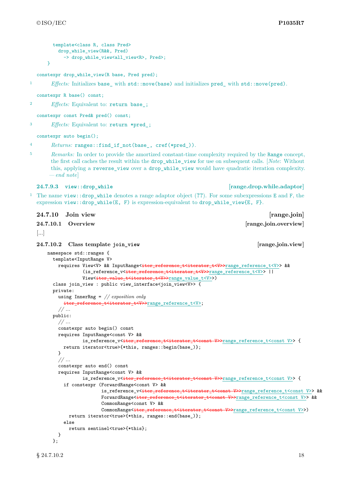```
template<class R, class Pred>
    drop_while_view(R&&, Pred)
      -> drop_while_view<all_view<R>, Pred>;
}
```

```
constexpr drop_while_view(R base, Pred pred);
```
1 *Effects:* Initializes base with std::move(base) and initializes pred with std::move(pred).

constexpr R base() const;

<sup>2</sup> *Effects:* Equivalent to: return base\_;

constexpr const Pred& pred() const;

<sup>3</sup> *Effects:* Equivalent to: return \*pred\_;

constexpr auto begin();

```
4 Returns: ranges::find_if_not(base_, cref(*pred_)).
```
<sup>5</sup> *Remarks:* In order to provide the amortized constant-time complexity required by the Range concept, the first call caches the result within the drop\_while\_view for use on subsequent calls. [*Note*: Without this, applying a reverse\_view over a drop\_while\_view would have quadratic iteration complexity. *— end note*]

**24.7.9.3 view::drop\_while [range.drop.while.adaptor]**

<sup>1</sup> The name view::drop\_while denotes a range adaptor object (**??**). For some subexpressions E and F, the expression view::drop\_while(E, F) is expression-equivalent to drop\_while\_view{E, F}.

<span id="page-19-0"></span>**24.7.10 Join view [range.join]**

#### **24.7.10.1 Overview [range.join.overview]**

```
[...]
```

```
24.7.10.2 Class template join_view [range.join.view]
```

```
namespace std::ranges {
  template<InputRange V>
    requires View<V> && InputRange<iter_reference_t<iterator_t<V>><br/>range_reference_t<V>> &&
              (is_reference_v<iter_reference_t<iterator_t<V>>range_reference_t<V>> ||
             View<iter_value_t<iterator_t<V>>range_value_t<V>>>>>>>>>
  class join_view : public view_interface<join_view<V>> {
  private:
    using InnerRng = // exposition only
      iter_reference_t<iterator_t<V>>range_reference_t<V>;
    // ...
  public:
    // ...
    constexpr auto begin() const
    requires InputRange<const V> &&<br>is_reference_v<<del>iter_reference</del>
                                              <del>t<iterator_t<const V>></del>range_reference_t<const V>> {
      return iterator<true>{*this, ranges::begin(base_)};
    }
    // ...
    constexpr auto end() const
    requires InputRange<const V> &&
             is_reference_v<iter_reference_t<iterator_t<const V>>range_reference_t<const V>> {
      if constexpr (ForwardRange<const V> &&
                     is_reference_v<iter_reference_t<iterator_t<const V>>range_reference_t<const V>> &&
                     ForwardRange<iter_reference_t<iterator_t<const V>>range_reference_t<const V>> &&
                     CommonRange<const V> &&
                     CommonRange<<del>iter_reference_t<iterator_t<const V>></del>range_reference_t<const V>>)
        return iterator<true>{*this, ranges::end(base_)};
      else
        return sentinel<true>{*this};
    }
  };
```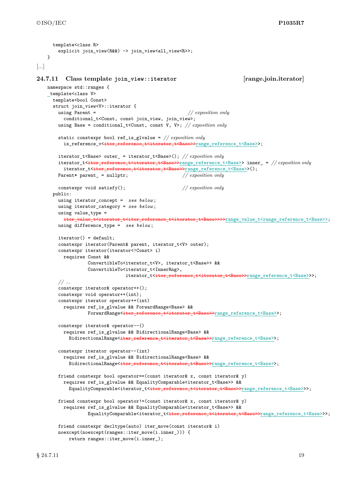```
template<class R>
       explicit join_view(R&&) -> join_view<all_view<R>>;
   }
[...]
24.7.11 Class template join_view::iterator [range.join.iterator]
   namespace std::ranges {
   template<class V>
     template<br/>bool Const>
     struct join_view<V>::iterator {
       using Parent = // exposition only
         conditional_t<Const, const join_view, join_view>;
       using Base = conditional_t<Const, const V, V>; // exposition only
       static constexpr bool ref_is_glvalue = // exposition only
         is_reference_v<iter_reference_t<iterator_t<Base>>range_reference_t<Base>>;
       iterator_t<Base> outer_ = iterator_t<Base>(); // exposition only
       iterator_t<iter_reference_t<iterator_t<Base>>range_reference_t<Base>> inner_ = // exposition only
         iterator_t<iter_reference_t<iterator_t<Base>>cange_reference_t<Base>>();
       Parent* parent_ = nullptr; // exposition only
       constexpr void satisfy(); // exposition only
     public:
       using iterator_concept = see below ;
       using iterator_category = see below ;
       using value_type =
         iter_value_t<iterator_t<iter_reference_t<iterator_t<Base>>>>>range_value_t<range_reference_t<Base>>;
       using difference_type = see below ;
       iterator() = default;
       constexpr iterator(Parent& parent, iterator_t<V> outer);
       constexpr iterator(iterator<!Const> i)
         requires Const &&
                  ConvertibleTo<iterator_t<V>, iterator_t<Base>> &&
                  ConvertibleTo<iterator_t<InnerRng>,
                                iterator_t<<del>iter_reference_t<iterator_t<Base>></del>range_reference_t<Base>>>;
       // ...
       constexpr iterator& operator++();
       constexpr void operator++(int);
       constexpr iterator operator++(int)
         requires ref_is_glvalue && ForwardRange<Base> &&
                  ForwardRange<<del>iter_reference_t<iterator_t<Base>></del>range_reference_t<Base>>;
       constexpr iterator& operator--()
         requires ref_is_glvalue && BidirectionalRange<Base> &&
           BidirectionalRange<iter_reference_t<iterator_t<Base>>range_reference_t<Base>>;
       constexpr iterator operator--(int)
         requires ref_is_glvalue && BidirectionalRange<Base> &&
           BidirectionalRange<iter_reference_t<iterator_t<Base>>range_reference_t<Base>>;
       friend constexpr bool operator==(const iterator& x, const iterator& y)
         requires ref_is_glvalue && EqualityComparable<iterator_t<Base>> &&
           EqualityComparable<iterator_t<iter_reference_t<iterator_t<Base>>range_reference_t<Base>>>;
       friend constexpr bool operator!=(const iterator & x, const iterator & y)
         requires ref_is_glvalue && EqualityComparable<iterator_t<Base>> &&
                  EqualityComparable<iterator_t<iter_reference_t<iterator_t<Base>>range_reference_t<Base>>>;
       friend constexpr decltype(auto) iter_move(const iterator& i)
       noexcept(noexcept(ranges::iter_move(i.inner_))) {
           return ranges::iter_move(i.inner_);
```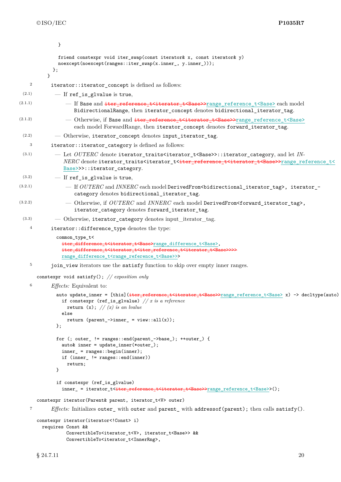|                  | }                                                                                                                                                                                                                                                                                                                  |
|------------------|--------------------------------------------------------------------------------------------------------------------------------------------------------------------------------------------------------------------------------------------------------------------------------------------------------------------|
|                  | friend constexpr void iter_swap(const iterator& x, const iterator& y)<br>noexcept(noexcept(ranges::iter_swap(x.inner_, y.inner_)));<br>};<br>ł                                                                                                                                                                     |
| $\boldsymbol{2}$ | iterator::iterator_concept is defined as follows:                                                                                                                                                                                                                                                                  |
| (2.1)            | $-$ If ref_is_glvalue is true,                                                                                                                                                                                                                                                                                     |
| (2.1.1)          | - If Base and iter_reference_t <iterator_t<base>&gt;range_reference_t<base/> each model<br/>BidirectionalRange, then iterator_concept denotes bidirectional_iterator_tag.</iterator_t<base>                                                                                                                        |
| (2.1.2)          | - Otherwise, if Base and iter_reference_t <iterator_t<base>&gt;range_reference_t<base/><br/>each model ForwardRange, then iterator_concept denotes forward_iterator_tag.</iterator_t<base>                                                                                                                         |
| (2.2)            | - Otherwise, iterator_concept denotes input_iterator_tag.                                                                                                                                                                                                                                                          |
| 3                | iterator::iterator_category is defined as follows:                                                                                                                                                                                                                                                                 |
| (3.1)            | - Let OUTERC denote iterator_traits <iterator_t<base>&gt;::iterator_category, and let IN-<br/>NERC denote iterator_traits<iterator_t<iter_reference_t<iterator_t<base>&gt;range_reference_t&lt;<br/>Base&gt;&gt;&gt;::iterator_category.</iterator_t<iter_reference_t<iterator_t<base></iterator_t<base>           |
| (3.2)            | $-$ If ref_is_glvalue is true,                                                                                                                                                                                                                                                                                     |
| (3.2.1)          | $-$ If $OUTERC$ and $INNERC$ each model DerivedFrom $\sim$ bidirectional_iterator_tag>, iterator_-<br>category denotes bidirectional_iterator_tag.                                                                                                                                                                 |
| (3.2.2)          | - Otherwise, if OUTERC and INNERC each model DerivedFrom <forward_iterator_tag>,<br/>iterator_category denotes forward_iterator_tag.</forward_iterator_tag>                                                                                                                                                        |
| (3.3)            | - Otherwise, iterator_category denotes input_iterator_tag.                                                                                                                                                                                                                                                         |
| $\overline{4}$   | iterator::difference_type denotes the type:                                                                                                                                                                                                                                                                        |
|                  | common_type_t<<br>iter_difference_t <iterator_t<base>range_difference_t<base/>,<br/>iter_difference_t<iterator_t<iter_reference_t<iterator_t<base>&gt;&gt;&gt;&gt;<br/>range_difference_t<range_reference_t<base>&gt;&gt;</range_reference_t<base></iterator_t<iter_reference_t<iterator_t<base></iterator_t<base> |
| 5                | join_view iterators use the satisfy function to skip over empty inner ranges.                                                                                                                                                                                                                                      |
|                  | constexpr void satisfy(); // exposition only                                                                                                                                                                                                                                                                       |
| $\,6$            | <i>Effects:</i> Equivalent to:                                                                                                                                                                                                                                                                                     |
|                  | auto update_inner = [this] (iter_reference_t <iterator_t<base>&gt;range_reference_t<base/> x) -&gt; decltype(auto)<br/>if constexpr (ref_is_glvalue) <math>//</math> <i>x</i> is a reference<br/><math>\frac{1}{2}</math></iterator_t<base>                                                                        |

```
return (x); // (x) is an lvalue
           else
             return (parent_->inner_ = view::all(x));
         };
          for (; outer_ != ranges::end(parent_->base_); ++outer_) {
           auto& inner = update_inner(*outer_);
            inner_ = ranges::begin(inner);
            if (inner_ != ranges::end(inner))
             return;
          }
          if constexpr (ref_is_glvalue)
            inner_ = iterator_t<<del>iter_reference_t<iterator_t<Base>></del>range_reference_t<Base>>();
  constexpr iterator(Parent& parent, iterator_t<V> outer)
7 Effects: Initializes outer_ with outer and parent_ with addressof(parent); then calls satisfy().
```

```
constexpr iterator(iterator<!Const> i)
 requires Const &&
          ConvertibleTo<iterator_t<V>, iterator_t<Base>> &&
          ConvertibleTo<iterator_t<InnerRng>,
```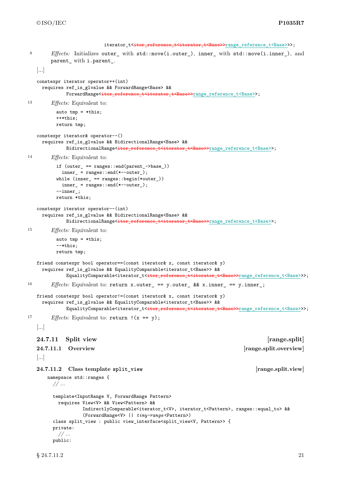```
iterator_t<iter_reference_t<iterator_t<Base>>range_reference_t<Base>>>;
8 Effects: Initializes outer_ with std::move(i.outer_), inner_ with std::move(i.inner_), and
        parent_ with i.parent_.
   [...]
   constexpr iterator operator++(int)
    requires ref_is_glvalue && ForwardRange<Base> &&
             ForwardRange<iter_reference_t<iterator_t<Base>>range_reference_t<Base>>;
13 Effects: Equivalent to:
          auto tmp = *this;++*this;
          return tmp;
   constexpr iterator& operator--()
     requires ref_is_glvalue && BidirectionalRange<Base> &&
             BidirectionalRange<iter_reference_t<iterator_t<Base>>range_reference_t<Base>>;
14 Effects: Equivalent to:
          if (outer_ == ranges::end(parent_->base_))
           inner_ = ranges::end(*--outer_);
          while (inner_ == ranges::begin(*outer_))
           inner_ = ranges::end(*--outer_);--inner_;
          return *this;
   constexpr iterator operator--(int)
     requires ref_is_glvalue && BidirectionalRange<Base> &&
             BidirectionalRange<iter_reference_t<iterator_t<Base>>range_reference_t<Base>>;
15 Effects: Equivalent to:
          auto tmp = *this;--*this;
          return tmp;
   friend constexpr bool operator==(const iterator& x, const iterator& y)
     requires ref_is_glvalue && EqualityComparable<iterator_t<Base>> &&
             EqualityComparable<iterator_t<<del>iter_reference_t<iterator_t<Base>></del>range_reference_t<Base>>>;
16 Effects: Equivalent to: return x.outer_ == y.outer_ && x.inner_ == y.inner_;
   friend constexpr bool operator!=(const iterator& x, const iterator& y)
     requires ref_is_glvalue && EqualityComparable<iterator_t<Base>> &&
             EqualityComparable<iterator_t<<del>iter_reference_t<iterator_t<Base>></del>range_reference_t<Base>>>;
<sup>17</sup> Effects: Equivalent to: return \, (x == y);
   [...]
   24.7.11 Split view [range.split]
   24.7.11.1 Overview [range.split.overview]
   [...]
   24.7.11.2 Class template split_view [range.split.view]
      namepsace std::ranges {
        // ...
        template<InputRange V, ForwardRange Pattern>
          requires View<V> && View<Pattern> &&
                   IndirectlyComparable<iterator_t<V>, iterator_t<Pattern>, ranges::equal_to> &&
                   (ForwardRange<V> || tiny-range <Pattern>)
        class split_view : public view_interface<split_view<V, Pattern>> {
        private:
          // ...
        public:
```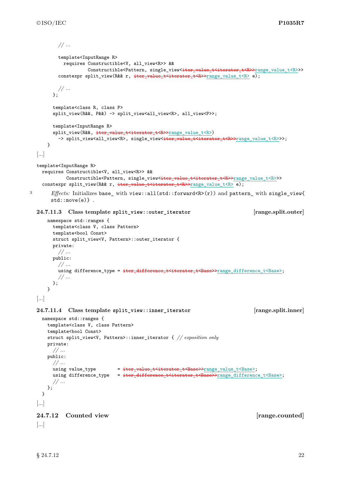```
// ...
            template<InputRange R>
              requires Constructible<V, all_view<R>> &&
                         Constructible<Pattern, single_view<iter_value_t<iterator_t<R>>range_value_t<R>>>>
            constexpr split_view(R&& r, iter_value_t<iterator_t<R>>range_value_t<R> e);
            // ...
          };
          template<class R, class P>
          split_view(R&&, P&&) -> split_view<all_view<R>, all_view<P>>;
          template<InputRange R>
          split_view(R&&, iter_value_t<iterator_t<R>>range_value_t<R>)
            -> split_view<all_view<R>, single_view<<del>iter_value_t<iterator_t<R>></del>range_value_t<R>>>;
       }
  [...]
   template<InputRange R>
     requires Constructible<V, all_view<R>> &&
                Constructible<Pattern, single_view<<del>iter_value_t<iterator_t<R>></del>>range_value_t<R>>>>>>>>
     constexpr split_view(R&& r, iter_value_t<iterator_t<R>>range_value_t<R> e);
3 Effects: Initializes base_ with view::all(std::forward<R>(r)) and pattern_ with single_view{
         std::move(e).
   24.7.11.3 Class template split_view::outer_iterator [range.split.outer]
       namespace std::ranges {
          template<class V, class Pattern>
          template<br/>bool Const>
          struct split_view<V, Pattern>::outer_iterator {
          private:
            // ...
          public:
            // ...
            using difference_type = \frac{1}{100} = \frac{1}{100} = \frac{1}{100} = \frac{1}{100} = \frac{1}{100} = \frac{1}{100} = \frac{1}{100} = \frac{1}{100} = \frac{1}{100} = \frac{1}{100} = \frac{1}{100} = \frac{1}{100} = \frac{1}{100} = \frac{1}{100} = \// ...
         };
       }
   [...]
   24.7.11.4 Class template split_view::inner_iterator [range.split.inner]
     namespace std::ranges {
       template<class V, class Pattern>
       template<bool Const>
       struct split_view<V, Pattern>::inner_iterator { // exposition only
       private:
          // ...
       public:
          // ...
          using value type = \frac{1}{\text{iter value}} \frac{1}{\text{interator}} \frac{1}{\text{r}} \frac{1}{\text{r}} \frac{1}{\text{r}} \frac{1}{\text{r}} \frac{1}{\text{r}} \frac{1}{\text{r}} \frac{1}{\text{r}} \frac{1}{\text{r}} \frac{1}{\text{r}} \frac{1}{\text{r}} \frac{1}{\text{r}} \frac{1}{\text{r}} \frac{1}{\text{r}} \frac{1using difference_type = iter_difference_t<iterator_t<Base>>range_difference_t<Base>;
          // ...
       };
     }
   [...]
  24.7.12 Counted view [range.counted]
   [...]
```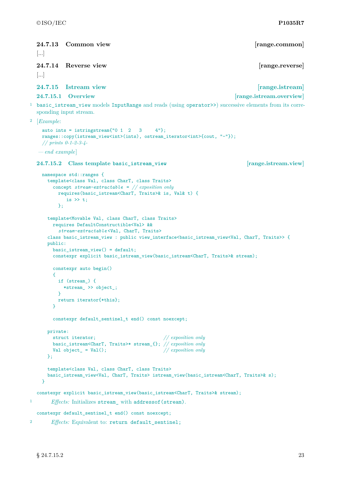<span id="page-24-2"></span><span id="page-24-1"></span><span id="page-24-0"></span>**24.7.13 Common view [range.common]** [...] **24.7.14 Reverse view [range.reverse]** [...] **24.7.15 Istream view [range.istream] 24.7.15.1 Overview [range.istream.overview]** <sup>1</sup> basic\_istream\_view models InputRange and reads (using operator>>) successive elements from its corresponding input stream. <sup>2</sup> [*Example*: auto ints = istringstream $\{0, 1, 2, 3, 4\}$ ; ranges::copy(istream\_view<int>(ints), ostream\_iterator<int>{cout, "-"}); *// prints 0-1-2-3-4- — end example*] **24.7.15.2 Class template basic\_istream\_view [range.istream.view]** namespace std::ranges { template<class Val, class CharT, class Traits> concept *stream-extractable* = *// exposition only* requires(basic\_istream<CharT, Traits>& is, Val& t) { is  $\gg t$ ; }; template<Movable Val, class CharT, class Traits> requires DefaultConstructible<Val> && *stream-extractable* <Val, CharT, Traits> class basic\_istream\_view : public view\_interface<basic\_istream\_view<Val, CharT, Traits>> { public: basic\_istream\_view() = default; constexpr explicit basic\_istream\_view(basic\_istream<CharT, Traits>& stream); constexpr auto begin() { if (stream\_) { \*stream\_ >> object\_; } return iterator{\*this};  $\mathbf{I}$ constexpr default\_sentinel\_t end() const noexcept; private: struct iterator; *// exposition only* basic\_istream<CharT, Traits>\* stream\_{}; *// exposition only* Val object\_ = Val(); *// exposition only*  $\}$ : template<class Val, class CharT, class Traits> basic\_istream\_view<Val, CharT, Traits> istream\_view(basic\_istream<CharT, Traits>& s); } constexpr explicit basic\_istream\_view(basic\_istream<CharT, Traits>& stream); <sup>1</sup> *Effects:* Initializes stream with addressof(stream). constexpr default sentinel t end() const noexcept; <sup>2</sup> *Effects:* Equivalent to: return default\_sentinel;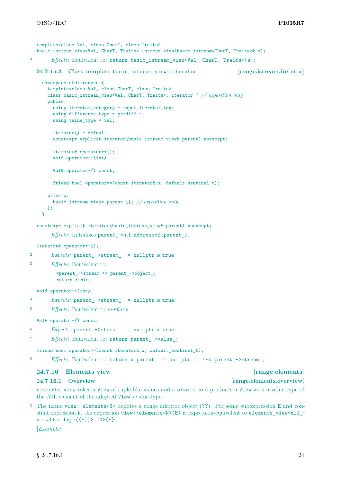```
template<class Val, class CharT, class Traits>
  basic_istream_view<Val, CharT, Traits> istream_view(basic_istream<CharT, Traits>& s);
3 Effects: Equivalent to: return basic_istream_view<Val, CharT, Traits>{s};
  24.7.15.3 Class template basic_istream_view::iterator [range.istream.iterator]
    namespace std::ranges {
      template<class Val, class CharT, class Traits>
      class basic_istream_view<Val, CharT, Traits>::iterator { // exposition only
      public:
        using iterator_category = input_iterator_tag;
        using difference_type = ptrdiff_t;
        using value_type = Val;
        iterator() = default;
        constexpr explicit iterator(basic_istream_view& parent) noexcept;
        iterator& operator++();
        void operator++(int);
        Val& operator*() const;
        friend bool operator==(const iterator& x, default_sentinel_t);
      private:
        basic_istream_view* parent_{}; // exposition only
      };
    \overline{1}constexpr explicit iterator(basic_istream_view& parent) noexcept;
1 Effects: Initializes parent_ with addressof(parent_).
  iterator& operator++();
<sup>2</sup> Expects: parent ->stream != nullptr is true.
3 Effects: Equivalent to:
```

```
*parent_->stream >> parent_->object_;
return *this;
```

```
void operator++(int);
```

```
4 Expects: parent_->stream_ != nullptr is true.
```

```
<sup>5</sup> Effects: Equivalent to ++*this.
```
Val& operator\*() const;

```
6 Expects: parent_->stream_ != nullptr is true.
```

```
7 Effects: Equivalent to: return parent_->value_;
```
friend bool operator==(const iterator& x, default\_sentinel\_t);

8 *Effects:* Equivalent to: return x.parent\_ == nullptr || !\*x.parent\_->stream\_;

## <span id="page-25-0"></span>**24.7.16 Elements view [range.elements]**

### **24.7.16.1 Overview [range.elements.overview]**

- <sup>1</sup> elements\_view takes a View of tuple-like values and a size\_t, and produces a View with a value-type of the *N*th element of the adapted View's value-type.
- <sup>2</sup> The name view::elements<N> denotes a range adaptor object (**??**). For some subexpression E and constant expression N, the expression view::elements<N>(E) is expression-equivalent to elements view<all view<decltype((E))>, N>{E}.

[*Example*: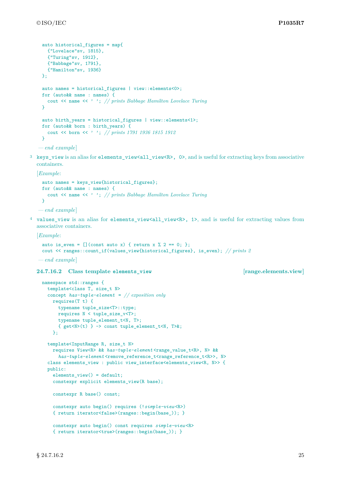```
auto historical_figures = map{
  {"Lovelace"sv, 1815},
  {"Turing"sv, 1912},
  {"Babbage"sv, 1791},
   {"Hamilton"sv, 1936}
};
auto names = historical figures | view::elements<0>;
for (auto&& name : names) {
   cout << name << ' '; // prints Babbage Hamilton Lovelace Turing
 }
auto birth_years = historical_figures | view::elements<1>;
for (auto&& born : birth_years) {
  cout << born << ' '; // prints 1791 1936 1815 1912
 }
— end example]
```
<sup>3</sup> keys view is an alias for elements view<all view<R>, 0>, and is useful for extracting keys from associative containers.

[*Example*:

```
auto names = keys_view{historical_figures};
for (auto&& name : names) {
  cout << name << ' '; // prints Babbage Hamilton Lovelace Turing
\mathbf{R}
```
*— end example*]

<sup>4</sup> values\_view is an alias for elements\_view<all\_view<R>, 1>, and is useful for extracting values from associative containers.

[*Example*:

```
auto is_even = [] (const auto x) { return x % 2 == 0; };
 cout << ranges::count_if(values_view{historical_figures}, is_even); // prints 2
— end example]
```
**24.7.16.2 Class template elements\_view [range.elements.view]**

```
namespace std::ranges {
  template<class T, size_t N>
  concept has-tuple-element = // exposition only
    requires(T t) {
      typename tuple_size<T>::type;
      requires N < tuple_size_v<T>;
      typename tuple_element_t<N, T>;
      { get\langle N\rangle(t) } -> const tuple_element_t\langle N, T\rangle k;
    };
  template<InputRange R, size_t N>
    requires View<R> && has-tuple-element <range_value_t<R>, N> &&
      has-tuple-element <remove_reference_t<range_reference_t<R>>, N>
  class elements_view : public view_interface<elements_view<R, N>> {
  public:
    elements_view() = default;
    constexpr explicit elements_view(R base);
    constexpr R base() const;
    constexpr auto begin() requires (!simple-view <R>)
    { return iterator<false>(ranges::begin(base_)); }
    constexpr auto begin() const requires simple-view <R>
    { return iterator<true>(ranges::begin(base_)); }
```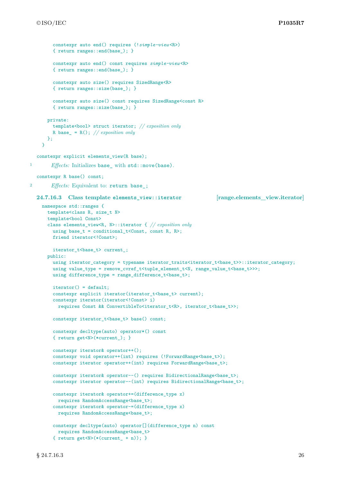```
constexpr auto end() requires (!simple-view <R>)
        { return ranges::end(base_); }
        constexpr auto end() const requires simple-view <R>
        { return ranges::end(base_); }
        constexpr auto size() requires SizedRange<R>
        { return ranges::size(base_); }
        constexpr auto size() const requires SizedRange<const R>
        { return ranges::size(base_); }
      private:
        template<bool> struct iterator; // exposition only
        R base_ = R(); // exposition only
      };
    }
  constexpr explicit elements_view(R base);
<sup>1</sup> Effects: Initializes base with std::move(base).
  constexpr R base() const;
2 Effects: Equivalent to: return base_;
  24.7.16.3 Class template elements_view::iterator [range.elements_view.iterator]
    namespace std::ranges {
      template<class R, size t N>
      template<br/>bool Const>
      class elements_view<R, N>::iterator { // exposition only
        using base_t = conditional_t<Const, const R, R>;
        friend iterator<!Const>;
        iterator_t<br/>base_t> current_;
      public:
        using iterator_category = typename iterator_traits<iterator_t<br/>kbase_t>>::iterator_category;
        using value_type = remove_cvref_t<tuple_element_t<N, range_value_t<br/>>base_t>>>;
        using difference_type = range_difference_t<br/>base_t>;
        iterator() = default;
        constexpr explicit iterator(iterator_t<br/>base_t> current);
        constexpr iterator(iterator<!Const> i)
          requires Const && ConvertibleTo<iterator_t<R>, iterator_t<br/>kbase_t>>;
        constexpr iterator_t<br/>base_t> base() const;
        constexpr decltype(auto) operator*() const
        { return get<N>(*current_); }
        constexpr iterator& operator++();
        constexpr void operator++(int) requires (!ForwardRange<br/>base_t>);
        constexpr iterator operator++(int) requires ForwardRange<br/>base_t>;
        constexpr iterator& operator--() requires BidirectionalRange<br/>base_t>;
        constexpr iterator operator--(int) requires BidirectionalRange<br/>base_t>;
        constexpr iterator& operator+=(difference_type x)
          requires RandomAccessRange<br/>base t>;
        constexpr iterator& operator-=(difference_type x)
          requires RandomAccessRange<br/>base t>;
        constexpr decltype(auto) operator[](difference_type n) const
          requires RandomAccessRange<base_t>
        { return get<N>(*(current_ + n)); }
```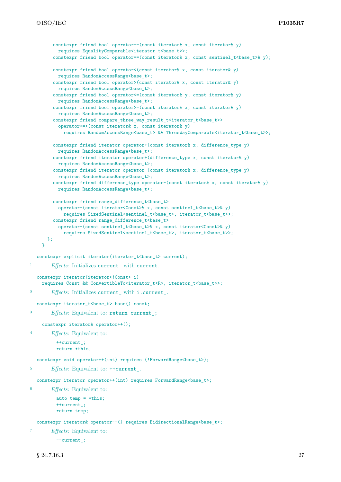```
constexpr friend bool operator==(const iterator& x, const iterator& y)
          requires EqualityComparable<iterator_t<br/>base_t>>;
        constexpr friend bool operator==(const iterator& x, const sentinel_t<br/>kbase_t>& y);
        constexpr friend bool operator<(const iterator x, const iterator xy)
          requires RandomAccessRange<br/>base_t>;
        constexpr friend bool operator>(const iterator& x, const iterator& y)
          requires RandomAccessRange<br/>base_t>;
        constexpr friend bool operator<=(const iterator& y, const iterator& y)
          requires RandomAccessRange<base_t>;
        constexpr friend bool operator>=(const iterator x, const iterator x y)
          requires RandomAccessRange<base_t>;
        constexpr friend compare_three_way_result_t<iterator_t<br/> \verb|base_t>operator<=>(const iterator& x, const iterator& y)
             requires RandomAccessRange<br/>base_t> && ThreeWayComparable<iterator_t<br/><br/>base_t>>;
        constexpr friend iterator operator+(const iterator& x, difference_type y)
          requires RandomAccessRange<br/>base_t>;
        constexpr friend iterator operator+(difference_type x, const iterator& y)
          requires RandomAccessRange<base_t>;
        constexpr friend iterator operator-(const iterator& x, difference_type y)
          requires RandomAccessRange<base_t>;
        constexpr friend difference_type operator-(const iterator& x, const iterator& y)
          requires RandomAccessRange<base_t>;
        constexpr friend range_difference_t<br/>base_t>
           operator-(const iterator<Const>& x, const sentinel_t<base_t>& y)
             requires SizedSentinel<sentinel_t<br/>base_t>, iterator_t<br/>base_t>>;
        constexpr friend range_difference_t<br/>base_t>
          operator-(const sentinel_t<base_t>& x, const iterator<Const>& y)
             requires SizedSentinel<sentinel_t<br/>base_t>, iterator_t<br/>sense_t>>;
      };
    }
  constexpr explicit iterator(iterator_t<br/>base_t> current);
<sup>1</sup> Effects: Initializes current with current.
  constexpr iterator(iterator<!Const> i)
    requires Const && ConvertibleTo<iterator_t<R>, iterator_t<br/>se_t>>;
2 Effects: Initializes current_ with i.current_.
  constexpr iterator_t<br/>base_t> base() const;
<sup>3</sup> Effects: Equivalent to: return current ;
    constexpr iterator& operator++();
4 Effects: Equivalent to:
          ++current_;
          return *this;
  constexpr void operator++(int) requires (!ForwardRange<br/>base_t>);
5 Effects: Equivalent to: ++current_.
  constexpr iterator operator++(int) requires ForwardRange<br/>base_t>;
6 Effects: Equivalent to:
          auto temp = *this;
          ++current_;
          return temp;
  constexpr iterator& operator--() requires BidirectionalRange<br/>base_t>;
        7 Effects: Equivalent to:
```

```
--current_;
```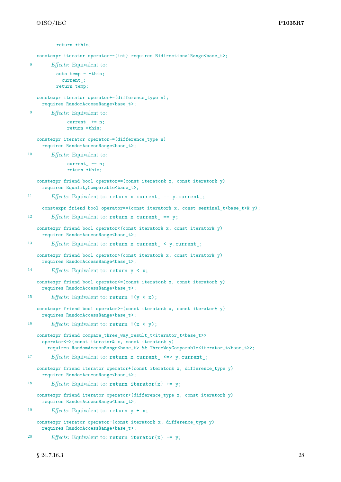```
return *this;
   constexpr iterator operator--(int) requires BidirectionalRange<br/>Sbase_t>;
8 Effects: Equivalent to:
          auto temp = *this;
          --current_;
          return temp;
   constexpr iterator operator+=(difference_type n);
     requires RandomAccessRange<br/>base t>;
9 Effects: Equivalent to:
              current_ + = n;return *this;
   constexpr iterator operator-=(difference_type n)
     requires RandomAccessRange<base_t>;
10 Effects: Equivalent to:
              current_ = = n;return *this;
   constexpr friend bool operator==(const iterator& x, const iterator& y)
     requires EqualityComparable<base_t>;
11 Effects: Equivalent to: return x.current_ == y.current_;
     constexpr friend bool operator==(const iterator& x, const sentinel_t<br/> <br/> <br/> <br/>x y);
<sup>12</sup> Effects: Equivalent to: return x.current == y;
   constexpr friend bool operator<(const iterator& x, const iterator& y)
     requires RandomAccessRange<base_t>;
13 Effects: Equivalent to: return x.current_ < y.current_;
   constexpr friend bool operator>(const iterator& x, const iterator& y)
     requires RandomAccessRange<base_t>;
14 Effects: Equivalent to: return y < x;
   constexpr friend bool operator<=(const iterator& x, const iterator& y)
     requires RandomAccessRange<base_t>;
<sup>15</sup> Effects: Equivalent to: return !(y < x);constexpr friend bool operator>=(const iterator& x, const iterator& y)
     requires RandomAccessRange<base_t>;
16 Effects: Equivalent to: return !(x < y);constexpr friend compare_three_way_result_t<iterator_t<br/>base_t>>
     operator<=>(const iterator& x, const iterator& y)
       requires RandomAccessRange<br/>base_t> && ThreeWayComparable<iterator_t<br/> t>>;
17 Effects: Equivalent to: return x.current_ <=> y.current_;
   constexpr friend iterator operator+(const iterator & x, difference_type y)
     requires RandomAccessRange<base_t>;
18 Effects: Equivalent to: return iterator{x} += y;
   constexpr friend iterator operator+(difference_type x, const iterator& y)
     requires RandomAccessRange<base_t>;
19 Effects: Equivalent to: return y + x;
   constexpr iterator operator-(const iterator& x, difference_type y)
     requires RandomAccessRange<base_t>;
20 Effects: Equivalent to: return iterator\{x\} -= y;
```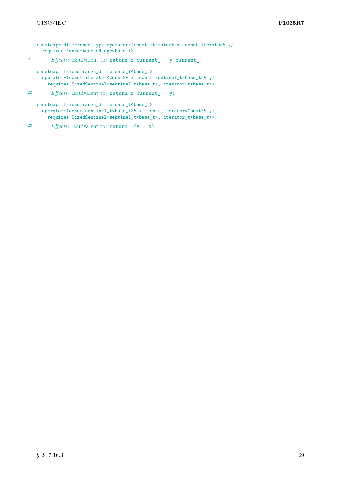```
constexpr difference_type operator-(const iterator& x, const iterator& y)
     requires RandomAccessRange<base_t>;
21 Effects: Equivalent to: return x.current_ - y.current_;
   constexpr friend range_difference_t<base_t>
     operator-(const iterator<Const>& x, const sentinel_t<base_t>& y)
       requires SizedSentinel<sentinel_t<br/>base_t>, iterator_t<br/>base_t>>;
22 Effects: Equivalent to: return x.current_ - y;
   constexpr friend range_difference_t<br/>base_t>
```
operator-(const sentinel\_t<br/>base\_t>& x, const iterator<Const>& y) requires SizedSentinel<sentinel\_t<br/>base\_t>, iterator\_t<br/>base\_t>>;

<sup>23</sup> *Effects:* Equivalent to:  $return -(y - x);$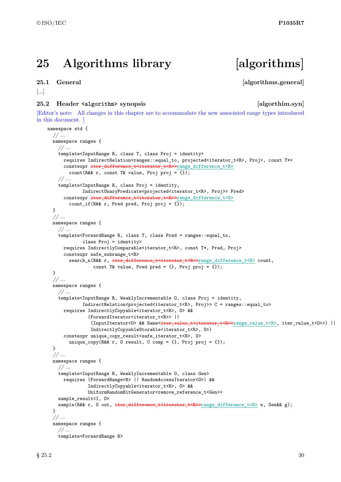# <span id="page-31-0"></span>**25 Algorithms library [algorithms]**

### <span id="page-31-1"></span>**25.1 General Community Community Community Community Community Community Community Community Community Community**

```
[...]
```
### <span id="page-31-2"></span>**25.2 Header <algorithm> synopsis [algorthim.syn]**

[Editor's note: All changes in this chapter are to accommodate the new associated range types introduced in this document. ]

```
namespace std {
  // ...
  namespace ranges {
    // ...
    template<InputRange R, class T, class Proj = identity>
      requires IndirectRelation<ranges::equal_to, projected<iterator_t<R>, Proj>, const T*>
      constexpr iter_difference_t<iterator_t<R>>range_difference_t<R>
        count(R&& r, const T& value, Proj proj = \{\});
    // ...
    template<InputRange R, class Proj = identity,
             IndirectUnaryPredicate<projected<iterator_t<R>, Proj>> Pred>
      constexpr iter_difference_t<iterator_t<R>>range_difference_t<R>
        count_if(R&& r, Pred pred, Proj proj = \{});
  }
  // ...
  namespace ranges {
    // ...
    template<ForwardRange R, class T, class Pred = ranges::equal_to,
             class Proj = identity>
      requires IndirectlyComparable<iterator_t<R>, const T*, Pred, Proj>
      constexpr safe_subrange_t<R>
        search_n(R&& r, iter_difference_t<iterator_t<R>>range_difference_t<R> count,
                 const T& value, Pred pred = \{\}, Proj proj = \{\});
  }
  // ...
  namespace ranges {
    // ...
    template<InputRange R, WeaklyIncrementable O, class Proj = identity,
             IndirectRelation<projected<iterator_t<R>, Proj>> C = ranges::equal_to>
      requires IndirectlyCopyable<iterator_t<R>, O> &&
               (ForwardIterator<iterator_t<R>> ||
                 (InputIterator<O> && Same<<del>iter_value_t<iterator_t<R>>cange_value_t<R>, iter_value_t<O>>) ||</del>
                IndirectlyCopyableStorable<iterator t<R>, 0>)
      constexpr unique copy result<safe iterator t<R>, 0>
        unique_copy(R&& r, O result, C comp = {}, Proj proj = {});
  }
  // ...
  namespace ranges {
    // ...
    template<InputRange R, WeaklyIncrementable O, class Gen>
      requires (ForwardRange<R> || RandomAccessIterator<O>) &&
               IndirectlyCopyable<iterator_t<R>, O> &&
               UniformRandomBitGenerator<remove_reference_t<Gen>>
    sample_result<I, 0>
    sample(R&& r, 0 out, iter difference t<iterator t<R>>range difference t<R> n, Gen&& g);
  }
  // ...
  namespace ranges {
    // ...
    template<ForwardRange R>
```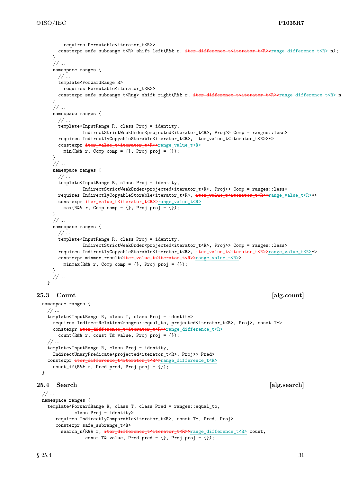```
requires Permutable<iterator_t<R>>
       constexpr safe_subrange_t<R> shift_left(R&& r, iter_difference_t<iterator_t<R>>range_difference_t<R> n);
     }
     // ...
     namespace ranges {
       // ...
       template<ForwardRange R>
         requires Permutable<iterator t<R>>
       constexpr safe_subrange_t<Rng> shift_right(R&& r, iter_difference_t<iterator_t<R>>range_difference_t<R>> n
     }
     // ...
     namespace ranges {
       // ...
       template<InputRange R, class Proj = identity,
                IndirectStrictWeakOrder<projected<iterator_t<R>, Proj>> Comp = ranges::less>
       requires IndirectlyCopyableStorable<iterator_t<R>, iter_value_t<iterator_t<R>>*>
       constexpr iter_value_t<iterator_t<R>>range_value_t<R>
         min(R\&&r, Comp comp = \{\}, Proj proj = \{\});
     }
     // ...
     namespace ranges {
       // ...
       template<InputRange R, class Proj = identity,
                IndirectStrictWeakOrder<projected<iterator_t<R>, Proj>> Comp = ranges::less>
       requires IndirectlyCopyableStorable<iterator_t<R>, \frac{1}{1} iter_value_t<R>>x=t<R>>range_value_t<R>*>
       constexpr iter_value_t<iterator_t<R>>range_value_t<R>
         max(R\&& r, Comp comp = \{\}, Proj proj = \{\});
     }
     // ...
     namespace ranges {
       // ...
       template<InputRange R, class Proj = identity,
                IndirectStrictWeakOrder<projected<iterator_t<R>, Proj>> Comp = ranges::less>
       requires IndirectlyCopyableStorable<iterator_t<R>, iter_value_t<<rr/>R>>range_value_t<R>*>
       constexpr minmax_result<iter_value_t<iterator_t<R>>range_value_t<R>>
         minmax(R\&k r, Comp comp = {}}, Proj proj = {});
     }
     // ...
   \mathbf{r}25.3 Count alg.count
 namespace ranges {
   // ...
   template<InputRange R, class T, class Proj = identity>
     requires IndirectRelation<ranges::equal_to, projected<iterator_t<R>, Proj>, const T*>
     constexpr iter_difference_t<iterator_t<R>>range_difference_t<R>
       count(R&& r, const T& value, Proj proj = {});
   // ...
   template<InputRange R, class Proj = identity,
     IndirectUnaryPredicate<projected<iterator_t<R>, Proj>> Pred>
   constexpr iter_difference_t<iterator_t<R>>range_difference_t<R>
     count_if(R&& r, Pred pred, Proj proj = \{\});
25.4 Search [alg.search]
 // ...
 namespace ranges {
   template<ForwardRange R, class T, class Pred = ranges::equal_to,
             class Proj = identity>
```
requires IndirectlyComparable<iterator\_t<R>, const T\*, Pred, Proj>

const T& value, Pred pred =  $\{\}$ , Proj proj =  $\{\})$ ;

search\_n(R&& r, iter\_difference\_t<iterator\_t<R>>range\_difference\_t<R> count,

constexpr safe\_subrange\_t<R>

```
§ 25.4 31
```
<span id="page-32-1"></span><span id="page-32-0"></span>}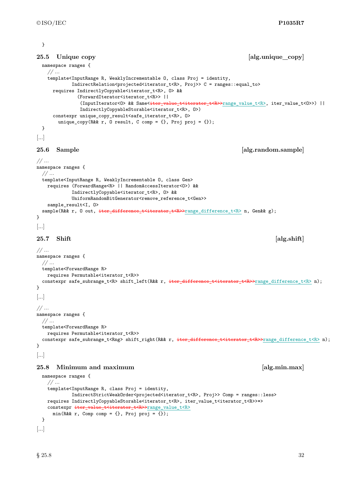#### }

```
25.5 Unique copy 25.5 Unique copy 25.5 Unique copy 25.5 Unique copy
 namespace ranges {
    // ...
   template<InputRange R, WeaklyIncrementable O, class Proj = identity,
             IndirectRelation<projected<iterator_t<R>, Proj>> C = ranges::equal_to>
      requires IndirectlyCopyable<iterator_t<R>, O> &&
               (ForwardIterator<iterator_t<R>> ||
                (InputIterator<0>&& Same<<del>iter_value_t<iterator_t<R>>range_value_t<R>, iter_value_t<0>>)</sub> ||</del>
                IndirectlyCopyableStorable<iterator_t<R>, O>)
      constexpr unique_copy_result<safe_iterator_t<R>, 0>
        unique_copy(R&& r, 0 result, C comp = \{\}, Proj proj = \{\});
 }
[...]
```
### <span id="page-33-1"></span>**25.6 Sample [alg.random.sample]**

```
// ...
namespace ranges {
  // ...
  template<InputRange R, WeaklyIncrementable O, class Gen>
   requires (ForwardRange<R> || RandomAccessIterator<O>) &&
             IndirectlyCopyable<iterator t<R>, 0> &&
             UniformRandomBitGenerator<remove_reference_t<Gen>>
    sample_result<I, O>
 sample(R&& r, 0 out, iter_difference_t<iterator_t<R>>range_difference_t<R> n, Gen&& g);
}
```

```
[...]
```
### <span id="page-33-2"></span>**25.7 Shift [alg.shift]**

```
// ...
namespace ranges {
 // ...
 template<ForwardRange R>
   requires Permutable<iterator_t<R>>
  constexpr safe_subrange_t<R> shift_left(R&& r, iter_difference_t<iterator_t<R>>range_difference_t<R> n);
}
[...]
// ...
namespace ranges {
  // ...
  template<ForwardRange R>
   requires Permutable<iterator_t<R>>
  constexpr safe_subrange_t<Rng> shift_right(R&& r, iter_difference_t<iterator_t<R>>range_difference_t<R> n);
}
```
[...]

### <span id="page-33-3"></span>**25.8 Minimum and maximum [alg.min.max]**

```
namespace ranges {
    // ...
    template<InputRange R, class Proj = identity,
             IndirectStrictWeakOrder<projected<iterator_t<R>, Proj>> Comp = ranges::less>
   requires IndirectlyCopyableStorable<iterator_t<R>, iter_value_t<iterator_t<R>>*>
   constexpr iter_value_t<iterator_t<R>>range_value_t<R>
      min(R\&& r, Comp comp = \{\}, Proj proj = \{\});
 }
[...]
```